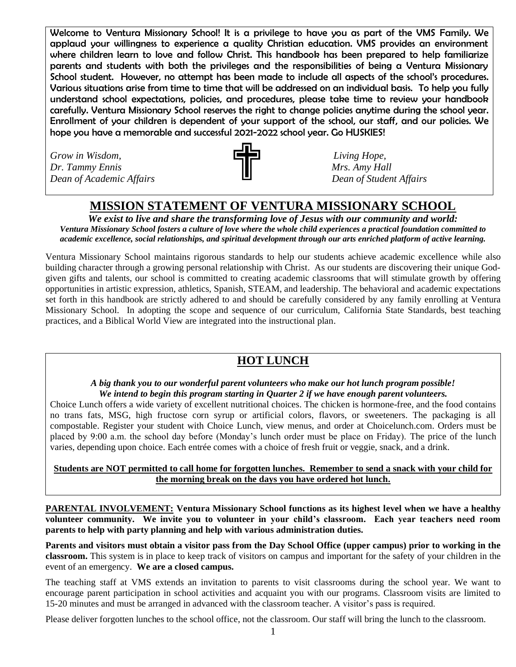Welcome to Ventura Missionary School! It is a privilege to have you as part of the VMS Family. We applaud your willingness to experience a quality Christian education. VMS provides an environment where children learn to love and follow Christ. This handbook has been prepared to help familiarize parents and students with both the privileges and the responsibilities of being a Ventura Missionary School student. However, no attempt has been made to include all aspects of the school's procedures. Various situations arise from time to time that will be addressed on an individual basis. To help you fully understand school expectations, policies, and procedures, please take time to review your handbook carefully. Ventura Missionary School reserves the right to change policies anytime during the school year. Enrollment of your children is dependent of your support of the school, our staff, and our policies. We hope you have a memorable and successful 2021-2022 school year. Go HUSKIES!

*Grow in Wisdom,* **Living Hope, Living Hope, Living Hope, Living Hope,** *Dr. Tammy Ennis* and *Mrs. Amy Hall Dean of Academic Affairs Dean of Student Affairs*



# **MISSION STATEMENT OF VENTURA MISSIONARY SCHOOL**

*We exist to live and share the transforming love of Jesus with our community and world: Ventura Missionary School fosters a culture of love where the whole child experiences a practical foundation committed to academic excellence, social relationships, and spiritual development through our arts enriched platform of active learning.*

Ventura Missionary School maintains rigorous standards to help our students achieve academic excellence while also building character through a growing personal relationship with Christ. As our students are discovering their unique Godgiven gifts and talents, our school is committed to creating academic classrooms that will stimulate growth by offering opportunities in artistic expression, athletics, Spanish, STEAM, and leadership. The behavioral and academic expectations set forth in this handbook are strictly adhered to and should be carefully considered by any family enrolling at Ventura Missionary School. In adopting the scope and sequence of our curriculum, California State Standards, best teaching practices, and a Biblical World View are integrated into the instructional plan.

# **HOT LUNCH**

#### *A big thank you to our wonderful parent volunteers who make our hot lunch program possible! We intend to begin this program starting in Quarter 2 if we have enough parent volunteers.*

Choice Lunch offers a wide variety of excellent nutritional choices. The chicken is hormone-free, and the food contains no trans fats, MSG, high fructose corn syrup or artificial colors, flavors, or sweeteners. The packaging is all compostable. Register your student with Choice Lunch, view menus, and order at Choicelunch.com. Orders must be placed by 9:00 a.m. the school day before (Monday's lunch order must be place on Friday). The price of the lunch varies, depending upon choice. Each entrée comes with a choice of fresh fruit or veggie, snack, and a drink.

### **Students are NOT permitted to call home for forgotten lunches. Remember to send a snack with your child for the morning break on the days you have ordered hot lunch.**

**PARENTAL INVOLVEMENT: Ventura Missionary School functions as its highest level when we have a healthy volunteer community. We invite you to volunteer in your child's classroom. Each year teachers need room parents to help with party planning and help with various administration duties.**

**Parents and visitors must obtain a visitor pass from the Day School Office (upper campus) prior to working in the classroom.** This system is in place to keep track of visitors on campus and important for the safety of your children in the event of an emergency. **We are a closed campus.**

The teaching staff at VMS extends an invitation to parents to visit classrooms during the school year. We want to encourage parent participation in school activities and acquaint you with our programs. Classroom visits are limited to 15-20 minutes and must be arranged in advanced with the classroom teacher. A visitor's pass is required.

Please deliver forgotten lunches to the school office, not the classroom. Our staff will bring the lunch to the classroom.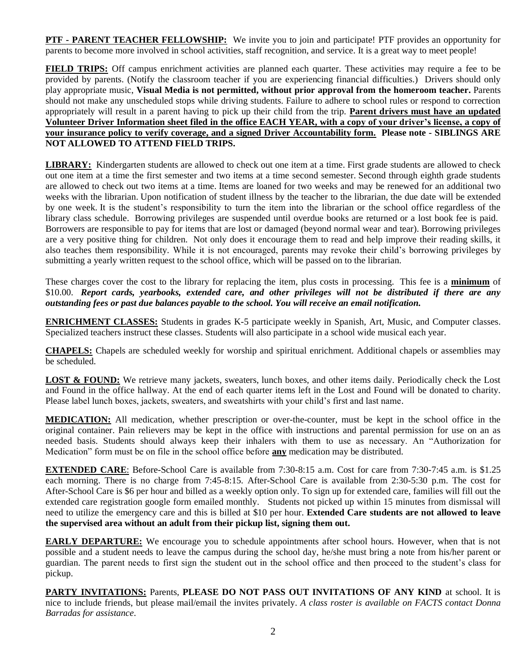**PTF - PARENT TEACHER FELLOWSHIP:** We invite you to join and participate! PTF provides an opportunity for parents to become more involved in school activities, staff recognition, and service. It is a great way to meet people!

**FIELD TRIPS:** Off campus enrichment activities are planned each quarter. These activities may require a fee to be provided by parents. (Notify the classroom teacher if you are experiencing financial difficulties.) Drivers should only play appropriate music, **Visual Media is not permitted, without prior approval from the homeroom teacher.** Parents should not make any unscheduled stops while driving students. Failure to adhere to school rules or respond to correction appropriately will result in a parent having to pick up their child from the trip. **Parent drivers must have an updated Volunteer Driver Information sheet filed in the office EACH YEAR, with a copy of your driver's license, a copy of your insurance policy to verify coverage, and a signed Driver Accountability form. Please note - SIBLINGS ARE NOT ALLOWED TO ATTEND FIELD TRIPS.**

**LIBRARY:** Kindergarten students are allowed to check out one item at a time. First grade students are allowed to check out one item at a time the first semester and two items at a time second semester. Second through eighth grade students are allowed to check out two items at a time. Items are loaned for two weeks and may be renewed for an additional two weeks with the librarian. Upon notification of student illness by the teacher to the librarian, the due date will be extended by one week. It is the student's responsibility to turn the item into the librarian or the school office regardless of the library class schedule. Borrowing privileges are suspended until overdue books are returned or a lost book fee is paid. Borrowers are responsible to pay for items that are lost or damaged (beyond normal wear and tear). Borrowing privileges are a very positive thing for children. Not only does it encourage them to read and help improve their reading skills, it also teaches them responsibility. While it is not encouraged, parents may revoke their child's borrowing privileges by submitting a yearly written request to the school office, which will be passed on to the librarian.

These charges cover the cost to the library for replacing the item, plus costs in processing. This fee is a **minimum** of \$10.00. *Report cards, yearbooks, extended care, and other privileges will not be distributed if there are any outstanding fees or past due balances payable to the school. You will receive an email notification.*

**ENRICHMENT CLASSES:** Students in grades K-5 participate weekly in Spanish, Art, Music, and Computer classes. Specialized teachers instruct these classes. Students will also participate in a school wide musical each year.

**CHAPELS:** Chapels are scheduled weekly for worship and spiritual enrichment. Additional chapels or assemblies may be scheduled.

**LOST & FOUND:** We retrieve many jackets, sweaters, lunch boxes, and other items daily. Periodically check the Lost and Found in the office hallway. At the end of each quarter items left in the Lost and Found will be donated to charity. Please label lunch boxes, jackets, sweaters, and sweatshirts with your child's first and last name.

**MEDICATION:** All medication, whether prescription or over-the-counter, must be kept in the school office in the original container. Pain relievers may be kept in the office with instructions and parental permission for use on an as needed basis. Students should always keep their inhalers with them to use as necessary. An "Authorization for Medication" form must be on file in the school office before **any** medication may be distributed.

**EXTENDED CARE:** Before-School Care is available from 7:30-8:15 a.m. Cost for care from 7:30-7:45 a.m. is \$1.25 each morning. There is no charge from 7:45-8:15. After-School Care is available from 2:30-5:30 p.m. The cost for After-School Care is \$6 per hour and billed as a weekly option only. To sign up for extended care, families will fill out the extended care registration google form emailed monthly. Students not picked up within 15 minutes from dismissal will need to utilize the emergency care and this is billed at \$10 per hour. **Extended Care students are not allowed to leave the supervised area without an adult from their pickup list, signing them out.**

**EARLY DEPARTURE:** We encourage you to schedule appointments after school hours. However, when that is not possible and a student needs to leave the campus during the school day, he/she must bring a note from his/her parent or guardian. The parent needs to first sign the student out in the school office and then proceed to the student's class for pickup.

**PARTY INVITATIONS:** Parents, **PLEASE DO NOT PASS OUT INVITATIONS OF ANY KIND** at school. It is nice to include friends, but please mail/email the invites privately. *A class roster is available on FACTS contact Donna Barradas for assistance.*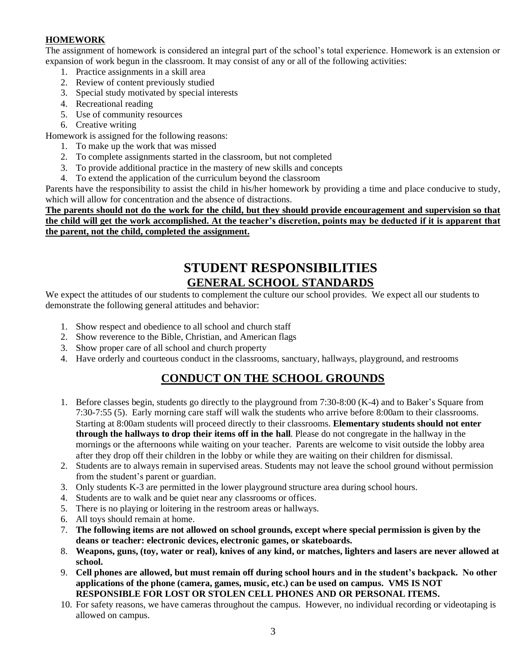### **HOMEWORK**

The assignment of homework is considered an integral part of the school's total experience. Homework is an extension or expansion of work begun in the classroom. It may consist of any or all of the following activities:

- 1. Practice assignments in a skill area
- 2. Review of content previously studied
- 3. Special study motivated by special interests
- 4. Recreational reading
- 5. Use of community resources
- 6. Creative writing

Homework is assigned for the following reasons:

- 1. To make up the work that was missed
- 2. To complete assignments started in the classroom, but not completed
- 3. To provide additional practice in the mastery of new skills and concepts
- 4. To extend the application of the curriculum beyond the classroom

Parents have the responsibility to assist the child in his/her homework by providing a time and place conducive to study, which will allow for concentration and the absence of distractions.

**The parents should not do the work for the child, but they should provide encouragement and supervision so that the child will get the work accomplished. At the teacher's discretion, points may be deducted if it is apparent that the parent, not the child, completed the assignment.**

# **STUDENT RESPONSIBILITIES GENERAL SCHOOL STANDARDS**

We expect the attitudes of our students to complement the culture our school provides. We expect all our students to demonstrate the following general attitudes and behavior:

- 1. Show respect and obedience to all school and church staff
- 2. Show reverence to the Bible, Christian, and American flags
- 3. Show proper care of all school and church property
- 4. Have orderly and courteous conduct in the classrooms, sanctuary, hallways, playground, and restrooms

## **CONDUCT ON THE SCHOOL GROUNDS**

- 1. Before classes begin, students go directly to the playground from 7:30-8:00 (K-4) and to Baker's Square from 7:30-7:55 (5). Early morning care staff will walk the students who arrive before 8:00am to their classrooms. Starting at 8:00am students will proceed directly to their classrooms. **Elementary students should not enter through the hallways to drop their items off in the hall**. Please do not congregate in the hallway in the mornings or the afternoons while waiting on your teacher. Parents are welcome to visit outside the lobby area after they drop off their children in the lobby or while they are waiting on their children for dismissal.
- 2. Students are to always remain in supervised areas. Students may not leave the school ground without permission from the student's parent or guardian.
- 3. Only students K-3 are permitted in the lower playground structure area during school hours.
- 4. Students are to walk and be quiet near any classrooms or offices.
- 5. There is no playing or loitering in the restroom areas or hallways.
- 6. All toys should remain at home.
- 7. **The following items are not allowed on school grounds, except where special permission is given by the deans or teacher: electronic devices, electronic games, or skateboards.**
- 8. **Weapons, guns, (toy, water or real), knives of any kind, or matches, lighters and lasers are never allowed at school.**
- 9. **Cell phones are allowed, but must remain off during school hours and in the student's backpack. No other applications of the phone (camera, games, music, etc.) can be used on campus. VMS IS NOT RESPONSIBLE FOR LOST OR STOLEN CELL PHONES AND OR PERSONAL ITEMS.**
- 10. For safety reasons, we have cameras throughout the campus. However, no individual recording or videotaping is allowed on campus.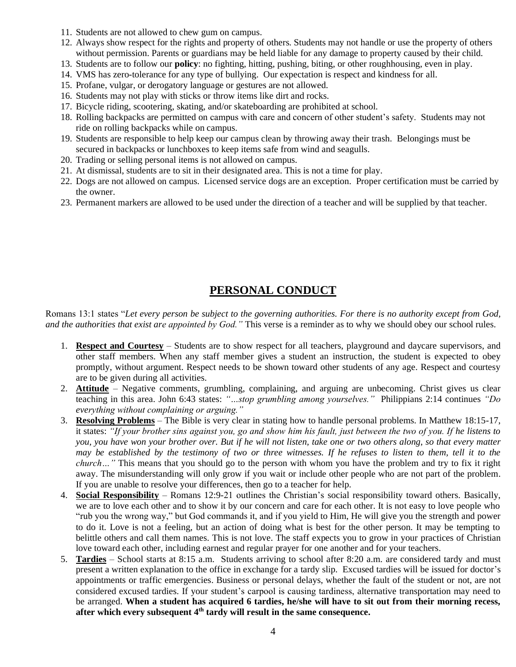- 11. Students are not allowed to chew gum on campus.
- 12. Always show respect for the rights and property of others. Students may not handle or use the property of others without permission. Parents or guardians may be held liable for any damage to property caused by their child.
- 13. Students are to follow our **policy**: no fighting, hitting, pushing, biting, or other roughhousing, even in play.
- 14. VMS has zero-tolerance for any type of bullying. Our expectation is respect and kindness for all.
- 15. Profane, vulgar, or derogatory language or gestures are not allowed.
- 16. Students may not play with sticks or throw items like dirt and rocks.
- 17. Bicycle riding, scootering, skating, and/or skateboarding are prohibited at school.
- 18. Rolling backpacks are permitted on campus with care and concern of other student's safety. Students may not ride on rolling backpacks while on campus.
- 19. Students are responsible to help keep our campus clean by throwing away their trash. Belongings must be secured in backpacks or lunchboxes to keep items safe from wind and seagulls.
- 20. Trading or selling personal items is not allowed on campus.
- 21. At dismissal, students are to sit in their designated area. This is not a time for play.
- 22. Dogs are not allowed on campus. Licensed service dogs are an exception. Proper certification must be carried by the owner.
- 23. Permanent markers are allowed to be used under the direction of a teacher and will be supplied by that teacher.

## **PERSONAL CONDUCT**

Romans 13:1 states "*Let every person be subject to the governing authorities. For there is no authority except from God, and the authorities that exist are appointed by God."* This verse is a reminder as to why we should obey our school rules.

- 1. **Respect and Courtesy** Students are to show respect for all teachers, playground and daycare supervisors, and other staff members. When any staff member gives a student an instruction, the student is expected to obey promptly, without argument. Respect needs to be shown toward other students of any age. Respect and courtesy are to be given during all activities.
- 2. **Attitude** Negative comments, grumbling, complaining, and arguing are unbecoming. Christ gives us clear teaching in this area. John 6:43 states: *"…stop grumbling among yourselves."* Philippians 2:14 continues *"Do everything without complaining or arguing."*
- 3. **Resolving Problems** The Bible is very clear in stating how to handle personal problems. In Matthew 18:15-17, it states: *"If your brother sins against you, go and show him his fault, just between the two of you. If he listens to you, you have won your brother over. But if he will not listen, take one or two others along, so that every matter may be established by the testimony of two or three witnesses. If he refuses to listen to them, tell it to the church*..." This means that you should go to the person with whom you have the problem and try to fix it right away. The misunderstanding will only grow if you wait or include other people who are not part of the problem. If you are unable to resolve your differences, then go to a teacher for help.
- 4. **Social Responsibility** Romans 12:9-21 outlines the Christian's social responsibility toward others. Basically, we are to love each other and to show it by our concern and care for each other. It is not easy to love people who "rub you the wrong way," but God commands it, and if you yield to Him, He will give you the strength and power to do it. Love is not a feeling, but an action of doing what is best for the other person. It may be tempting to belittle others and call them names. This is not love. The staff expects you to grow in your practices of Christian love toward each other, including earnest and regular prayer for one another and for your teachers.
- 5. **Tardies** School starts at 8:15 a.m. Students arriving to school after 8:20 a.m. are considered tardy and must present a written explanation to the office in exchange for a tardy slip. Excused tardies will be issued for doctor's appointments or traffic emergencies. Business or personal delays, whether the fault of the student or not, are not considered excused tardies. If your student's carpool is causing tardiness, alternative transportation may need to be arranged. **When a student has acquired 6 tardies, he/she will have to sit out from their morning recess, after which every subsequent 4th tardy will result in the same consequence.**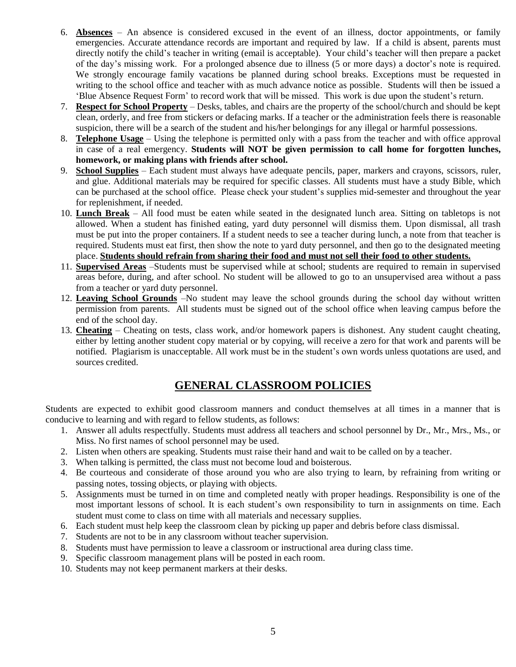- 6. **Absences** An absence is considered excused in the event of an illness, doctor appointments, or family emergencies. Accurate attendance records are important and required by law. If a child is absent, parents must directly notify the child's teacher in writing (email is acceptable). Your child's teacher will then prepare a packet of the day's missing work. For a prolonged absence due to illness (5 or more days) a doctor's note is required. We strongly encourage family vacations be planned during school breaks. Exceptions must be requested in writing to the school office and teacher with as much advance notice as possible. Students will then be issued a 'Blue Absence Request Form' to record work that will be missed. This work is due upon the student's return.
- 7. **Respect for School Property** Desks, tables, and chairs are the property of the school/church and should be kept clean, orderly, and free from stickers or defacing marks. If a teacher or the administration feels there is reasonable suspicion, there will be a search of the student and his/her belongings for any illegal or harmful possessions.
- 8. **Telephone Usage** Using the telephone is permitted only with a pass from the teacher and with office approval in case of a real emergency. **Students will NOT be given permission to call home for forgotten lunches, homework, or making plans with friends after school.**
- 9. **School Supplies** Each student must always have adequate pencils, paper, markers and crayons, scissors, ruler, and glue. Additional materials may be required for specific classes. All students must have a study Bible, which can be purchased at the school office. Please check your student's supplies mid-semester and throughout the year for replenishment, if needed.
- 10. **Lunch Break** All food must be eaten while seated in the designated lunch area. Sitting on tabletops is not allowed. When a student has finished eating, yard duty personnel will dismiss them. Upon dismissal, all trash must be put into the proper containers. If a student needs to see a teacher during lunch, a note from that teacher is required. Students must eat first, then show the note to yard duty personnel, and then go to the designated meeting place. **Students should refrain from sharing their food and must not sell their food to other students.**
- 11. **Supervised Areas** –Students must be supervised while at school; students are required to remain in supervised areas before, during, and after school. No student will be allowed to go to an unsupervised area without a pass from a teacher or yard duty personnel.
- 12. **Leaving School Grounds** –No student may leave the school grounds during the school day without written permission from parents. All students must be signed out of the school office when leaving campus before the end of the school day.
- 13. **Cheating** Cheating on tests, class work, and/or homework papers is dishonest. Any student caught cheating, either by letting another student copy material or by copying, will receive a zero for that work and parents will be notified. Plagiarism is unacceptable. All work must be in the student's own words unless quotations are used, and sources credited.

## **GENERAL CLASSROOM POLICIES**

Students are expected to exhibit good classroom manners and conduct themselves at all times in a manner that is conducive to learning and with regard to fellow students, as follows:

- 1. Answer all adults respectfully. Students must address all teachers and school personnel by Dr., Mr., Mrs., Ms., or Miss. No first names of school personnel may be used.
- 2. Listen when others are speaking. Students must raise their hand and wait to be called on by a teacher.
- 3. When talking is permitted, the class must not become loud and boisterous.
- 4. Be courteous and considerate of those around you who are also trying to learn, by refraining from writing or passing notes, tossing objects, or playing with objects.
- 5. Assignments must be turned in on time and completed neatly with proper headings. Responsibility is one of the most important lessons of school. It is each student's own responsibility to turn in assignments on time. Each student must come to class on time with all materials and necessary supplies.
- 6. Each student must help keep the classroom clean by picking up paper and debris before class dismissal.
- 7. Students are not to be in any classroom without teacher supervision.
- 8. Students must have permission to leave a classroom or instructional area during class time.
- 9. Specific classroom management plans will be posted in each room.
- 10. Students may not keep permanent markers at their desks.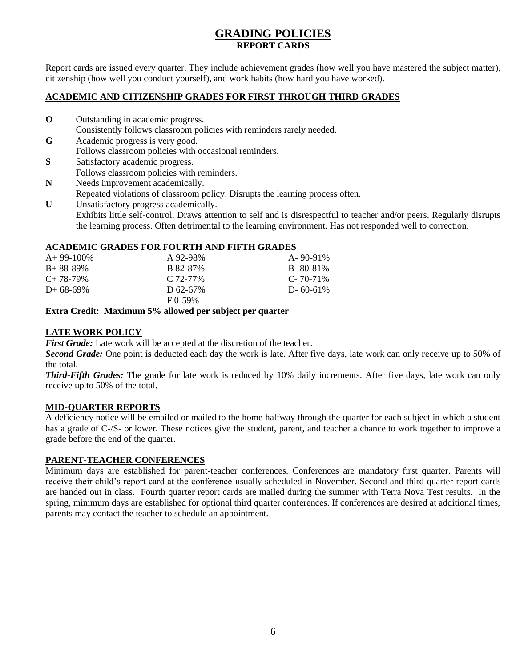## **GRADING POLICIES REPORT CARDS**

Report cards are issued every quarter. They include achievement grades (how well you have mastered the subject matter), citizenship (how well you conduct yourself), and work habits (how hard you have worked).

#### **ACADEMIC AND CITIZENSHIP GRADES FOR FIRST THROUGH THIRD GRADES**

- **O** Outstanding in academic progress. Consistently follows classroom policies with reminders rarely needed.
- **G** Academic progress is very good. Follows classroom policies with occasional reminders.
- **S** Satisfactory academic progress.
- Follows classroom policies with reminders.
- **N** Needs improvement academically.
- Repeated violations of classroom policy. Disrupts the learning process often.

U Unsatisfactory progress academically. Exhibits little self-control. Draws attention to self and is disrespectful to teacher and/or peers. Regularly disrupts the learning process. Often detrimental to the learning environment. Has not responded well to correction.

#### **ACADEMIC GRADES FOR FOURTH AND FIFTH GRADES**

| $A+99-100\%$ | A 92-98%     | $A - 90 - 91\%$ |
|--------------|--------------|-----------------|
| $B+88-89\%$  | B 82-87%     | B-80-81\%       |
| $C+78-79\%$  | $C.72-77\%$  | $C - 70 - 71\%$ |
| $D+68-69%$   | D 62-67%     | $D - 60 - 61\%$ |
|              | $F_{0.59\%}$ |                 |

**Extra Credit: Maximum 5% allowed per subject per quarter**

### **LATE WORK POLICY**

*First Grade:* Late work will be accepted at the discretion of the teacher.

*Second Grade:* One point is deducted each day the work is late. After five days, late work can only receive up to 50% of the total.

*Third-Fifth Grades:* The grade for late work is reduced by 10% daily increments. After five days, late work can only receive up to 50% of the total.

#### **MID-QUARTER REPORTS**

A deficiency notice will be emailed or mailed to the home halfway through the quarter for each subject in which a student has a grade of C-/S- or lower. These notices give the student, parent, and teacher a chance to work together to improve a grade before the end of the quarter.

### **PARENT-TEACHER CONFERENCES**

Minimum days are established for parent-teacher conferences. Conferences are mandatory first quarter. Parents will receive their child's report card at the conference usually scheduled in November. Second and third quarter report cards are handed out in class. Fourth quarter report cards are mailed during the summer with Terra Nova Test results. In the spring, minimum days are established for optional third quarter conferences. If conferences are desired at additional times, parents may contact the teacher to schedule an appointment.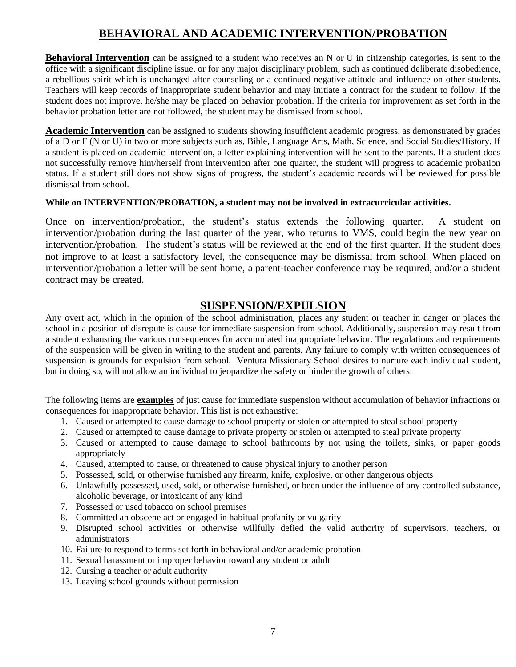## **BEHAVIORAL AND ACADEMIC INTERVENTION/PROBATION**

**Behavioral Intervention** can be assigned to a student who receives an N or U in citizenship categories, is sent to the office with a significant discipline issue, or for any major disciplinary problem, such as continued deliberate disobedience, a rebellious spirit which is unchanged after counseling or a continued negative attitude and influence on other students. Teachers will keep records of inappropriate student behavior and may initiate a contract for the student to follow. If the student does not improve, he/she may be placed on behavior probation. If the criteria for improvement as set forth in the behavior probation letter are not followed, the student may be dismissed from school.

**Academic Intervention** can be assigned to students showing insufficient academic progress, as demonstrated by grades of a D or F (N or U) in two or more subjects such as, Bible, Language Arts, Math, Science, and Social Studies/History. If a student is placed on academic intervention, a letter explaining intervention will be sent to the parents. If a student does not successfully remove him/herself from intervention after one quarter, the student will progress to academic probation status. If a student still does not show signs of progress, the student's academic records will be reviewed for possible dismissal from school.

#### **While on INTERVENTION/PROBATION, a student may not be involved in extracurricular activities.**

Once on intervention/probation, the student's status extends the following quarter. A student on intervention/probation during the last quarter of the year, who returns to VMS, could begin the new year on intervention/probation. The student's status will be reviewed at the end of the first quarter. If the student does not improve to at least a satisfactory level, the consequence may be dismissal from school. When placed on intervention/probation a letter will be sent home, a parent-teacher conference may be required, and/or a student contract may be created.

## **SUSPENSION/EXPULSION**

Any overt act, which in the opinion of the school administration, places any student or teacher in danger or places the school in a position of disrepute is cause for immediate suspension from school. Additionally, suspension may result from a student exhausting the various consequences for accumulated inappropriate behavior. The regulations and requirements of the suspension will be given in writing to the student and parents. Any failure to comply with written consequences of suspension is grounds for expulsion from school. Ventura Missionary School desires to nurture each individual student, but in doing so, will not allow an individual to jeopardize the safety or hinder the growth of others.

The following items are **examples** of just cause for immediate suspension without accumulation of behavior infractions or consequences for inappropriate behavior. This list is not exhaustive:

- 1. Caused or attempted to cause damage to school property or stolen or attempted to steal school property
- 2. Caused or attempted to cause damage to private property or stolen or attempted to steal private property
- 3. Caused or attempted to cause damage to school bathrooms by not using the toilets, sinks, or paper goods appropriately
- 4. Caused, attempted to cause, or threatened to cause physical injury to another person
- 5. Possessed, sold, or otherwise furnished any firearm, knife, explosive, or other dangerous objects
- 6. Unlawfully possessed, used, sold, or otherwise furnished, or been under the influence of any controlled substance, alcoholic beverage, or intoxicant of any kind
- 7. Possessed or used tobacco on school premises
- 8. Committed an obscene act or engaged in habitual profanity or vulgarity
- 9. Disrupted school activities or otherwise willfully defied the valid authority of supervisors, teachers, or administrators
- 10. Failure to respond to terms set forth in behavioral and/or academic probation
- 11. Sexual harassment or improper behavior toward any student or adult
- 12. Cursing a teacher or adult authority
- 13. Leaving school grounds without permission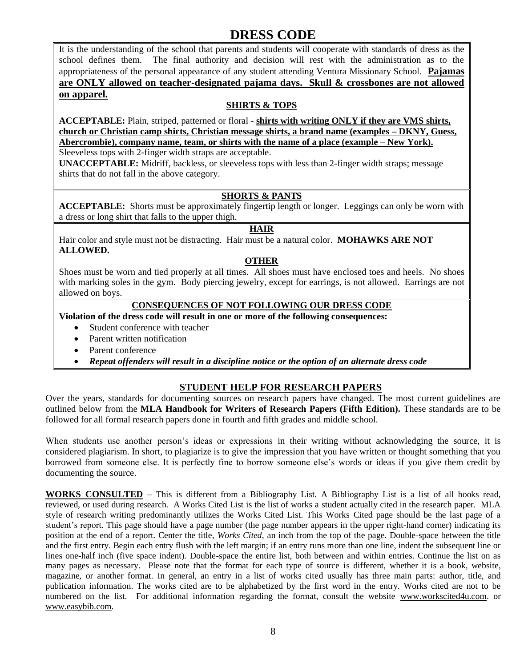# **DRESS CODE**

It is the understanding of the school that parents and students will cooperate with standards of dress as the school defines them. The final authority and decision will rest with the administration as to the appropriateness of the personal appearance of any student attending Ventura Missionary School. **Pajamas are ONLY allowed on teacher-designated pajama days. Skull & crossbones are not allowed on apparel.** 

### **SHIRTS & TOPS**

**ACCEPTABLE:** Plain, striped, patterned or floral - **shirts with writing ONLY if they are VMS shirts, church or Christian camp shirts, Christian message shirts, a brand name (examples – DKNY, Guess, Abercrombie), company name, team, or shirts with the name of a place (example – New York).**

Sleeveless tops with 2-finger width straps are acceptable.

**UNACCEPTABLE:** Midriff, backless, or sleeveless tops with less than 2-finger width straps; message shirts that do not fall in the above category.

### **SHORTS & PANTS**

**ACCEPTABLE:** Shorts must be approximately fingertip length or longer. Leggings can only be worn with a dress or long shirt that falls to the upper thigh.

#### **HAIR**

Hair color and style must not be distracting. Hair must be a natural color. **MOHAWKS ARE NOT ALLOWED.**

#### **OTHER**

Shoes must be worn and tied properly at all times. All shoes must have enclosed toes and heels. No shoes with marking soles in the gym. Body piercing jewelry, except for earrings, is not allowed. Earrings are not allowed on boys.

#### **CONSEQUENCES OF NOT FOLLOWING OUR DRESS CODE**

#### **Violation of the dress code will result in one or more of the following consequences:**

- Student conference with teacher
- Parent written notification
- Parent conference
- *Repeat offenders will result in a discipline notice or the option of an alternate dress code*

### **STUDENT HELP FOR RESEARCH PAPERS**

Over the years, standards for documenting sources on research papers have changed. The most current guidelines are outlined below from the **MLA Handbook for Writers of Research Papers (Fifth Edition).** These standards are to be followed for all formal research papers done in fourth and fifth grades and middle school.

When students use another person's ideas or expressions in their writing without acknowledging the source, it is considered plagiarism. In short, to plagiarize is to give the impression that you have written or thought something that you borrowed from someone else. It is perfectly fine to borrow someone else's words or ideas if you give them credit by documenting the source.

**WORKS CONSULTED** – This is different from a Bibliography List. A Bibliography List is a list of all books read, reviewed, or used during research. A Works Cited List is the list of works a student actually cited in the research paper. MLA style of research writing predominantly utilizes the Works Cited List. This Works Cited page should be the last page of a student's report. This page should have a page number (the page number appears in the upper right-hand corner) indicating its position at the end of a report. Center the title, *Works Cited*, an inch from the top of the page. Double-space between the title and the first entry. Begin each entry flush with the left margin; if an entry runs more than one line, indent the subsequent line or lines one-half inch (five space indent). Double-space the entire list, both between and within entries. Continue the list on as many pages as necessary. Please note that the format for each type of source is different, whether it is a book, website, magazine, or another format. In general, an entry in a list of works cited usually has three main parts: author, title, and publication information. The works cited are to be alphabetized by the first word in the entry. Works cited are not to be numbered on the list. For additional information regarding the format, consult the website [www.workscited4u.com.](http://www.workscited4u.com/) or [www.easybib.com.](http://www.easybib.com/)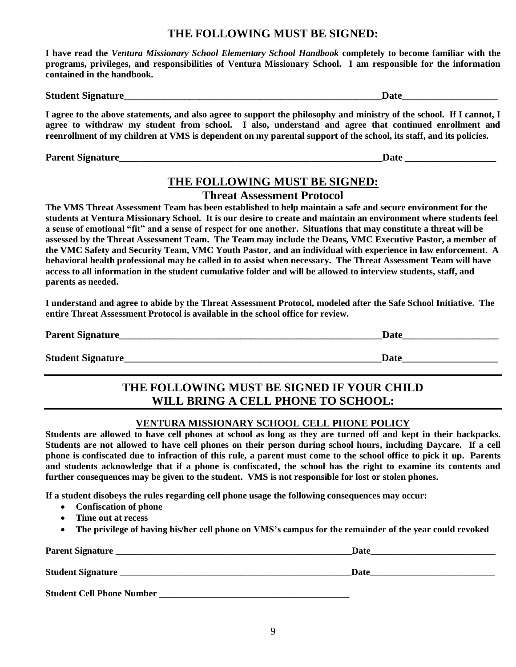## **THE FOLLOWING MUST BE SIGNED:**

**I have read the** *Ventura Missionary School Elementary School Handbook* **completely to become familiar with the programs, privileges, and responsibilities of Ventura Missionary School. I am responsible for the information contained in the handbook.**

| <b>Student Signature</b> |  |
|--------------------------|--|
|                          |  |

**I agree to the above statements, and also agree to support the philosophy and ministry of the school. If I cannot, I agree to withdraw my student from school. I also, understand and agree that continued enrollment and reenrollment of my children at VMS is dependent on my parental support of the school, its staff, and its policies.**

Parent Signature **Letters and Signature Date 2** and  $\overline{a}$  and  $\overline{b}$  are  $\overline{b}$  and  $\overline{b}$  are  $\overline{b}$ 

## **THE FOLLOWING MUST BE SIGNED:**

**Threat Assessment Protocol**

**The VMS Threat Assessment Team has been established to help maintain a safe and secure environment for the students at Ventura Missionary School. It is our desire to create and maintain an environment where students feel a sense of emotional "fit" and a sense of respect for one another. Situations that may constitute a threat will be assessed by the Threat Assessment Team. The Team may include the Deans, VMC Executive Pastor, a member of the VMC Safety and Security Team, VMC Youth Pastor, and an individual with experience in law enforcement. A behavioral health professional may be called in to assist when necessary. The Threat Assessment Team will have access to all information in the student cumulative folder and will be allowed to interview students, staff, and parents as needed.** 

**I understand and agree to abide by the Threat Assessment Protocol, modeled after the Safe School Initiative. The entire Threat Assessment Protocol is available in the school office for review.**

| <b>Parent Signature</b>   | Date        |
|---------------------------|-------------|
|                           |             |
| <b>Student Signature_</b> | <b>Date</b> |

## **THE FOLLOWING MUST BE SIGNED IF YOUR CHILD WILL BRING A CELL PHONE TO SCHOOL:**

## **VENTURA MISSIONARY SCHOOL CELL PHONE POLICY**

**Students are allowed to have cell phones at school as long as they are turned off and kept in their backpacks. Students are not allowed to have cell phones on their person during school hours, including Daycare. If a cell phone is confiscated due to infraction of this rule, a parent must come to the school office to pick it up. Parents and students acknowledge that if a phone is confiscated, the school has the right to examine its contents and further consequences may be given to the student. VMS is not responsible for lost or stolen phones.**

**If a student disobeys the rules regarding cell phone usage the following consequences may occur:**

- **Confiscation of phone**
- **Time out at recess**
- **The privilege of having his/her cell phone on VMS's campus for the remainder of the year could revoked**

| <b>Parent Signature</b>          | Date |  |
|----------------------------------|------|--|
| <b>Student Signature</b>         | Date |  |
| <b>Student Cell Phone Number</b> |      |  |